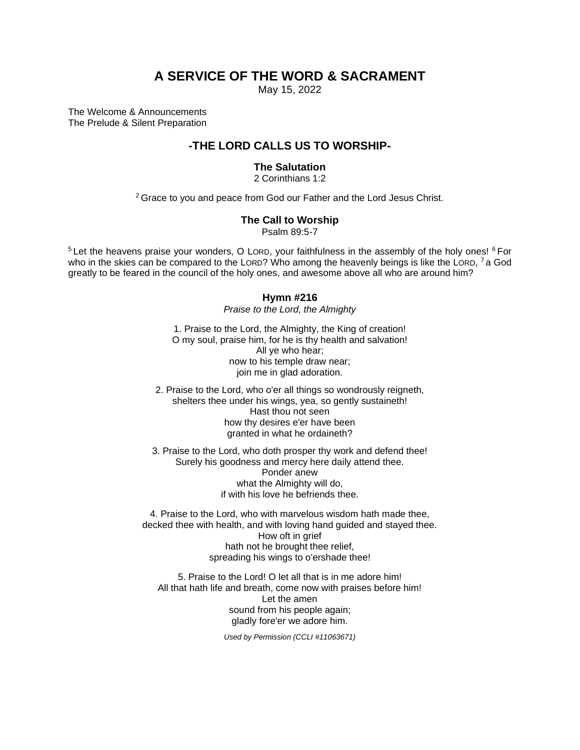# **A SERVICE OF THE WORD & SACRAMENT**

May 15, 2022

The Welcome & Announcements The Prelude & Silent Preparation

## **-THE LORD CALLS US TO WORSHIP-**

### **The Salutation**

2 Corinthians 1:2

<sup>2</sup> Grace to you and peace from God our Father and the Lord Jesus Christ.

### **The Call to Worship**

Psalm 89:5-7

 $5$  Let the heavens praise your wonders, O LORD, your faithfulness in the assembly of the holy ones!  $6$  For who in the skies can be compared to the LORD? Who among the heavenly beings is like the LORD,  $^7$  a God greatly to be feared in the council of the holy ones, and awesome above all who are around him?

### **Hymn #216**

*Praise to the Lord, the Almighty*

1. Praise to the Lord, the Almighty, the King of creation! O my soul, praise him, for he is thy health and salvation! All ye who hear; now to his temple draw near; join me in glad adoration.

2. Praise to the Lord, who o'er all things so wondrously reigneth, shelters thee under his wings, yea, so gently sustaineth! Hast thou not seen how thy desires e'er have been granted in what he ordaineth?

3. Praise to the Lord, who doth prosper thy work and defend thee! Surely his goodness and mercy here daily attend thee. Ponder anew what the Almighty will do, if with his love he befriends thee.

4. Praise to the Lord, who with marvelous wisdom hath made thee, decked thee with health, and with loving hand guided and stayed thee. How oft in grief hath not he brought thee relief, spreading his wings to o'ershade thee!

5. Praise to the Lord! O let all that is in me adore him! All that hath life and breath, come now with praises before him! Let the amen sound from his people again; gladly fore'er we adore him.

*Used by Permission (CCLI #11063671)*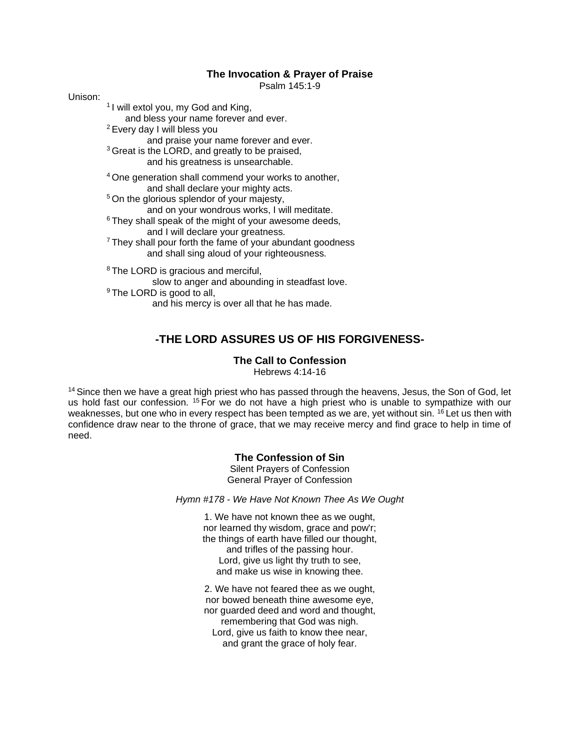### **The Invocation & Prayer of Praise**

Psalm 145:1-9

Unison:

<sup>1</sup> I will extol you, my God and King,

and bless your name forever and ever.

- <sup>2</sup>Every day I will bless you
- and praise your name forever and ever.
- <sup>3</sup> Great is the LORD, and greatly to be praised, and his greatness is unsearchable.
	-
- <sup>4</sup>One generation shall commend your works to another, and shall declare your mighty acts.
- <sup>5</sup> On the glorious splendor of your majesty,

and on your wondrous works, I will meditate.

- $6$  They shall speak of the might of your awesome deeds, and I will declare your greatness.
- <sup>7</sup>They shall pour forth the fame of your abundant goodness and shall sing aloud of your righteousness.
- <sup>8</sup> The LORD is gracious and merciful, slow to anger and abounding in steadfast love. <sup>9</sup> The LORD is good to all, and his mercy is over all that he has made.

# **-THE LORD ASSURES US OF HIS FORGIVENESS-**

### **The Call to Confession**

Hebrews 4:14-16

<sup>14</sup> Since then we have a great high priest who has passed through the heavens, Jesus, the Son of God, let us hold fast our confession. <sup>15</sup> For we do not have a high priest who is unable to sympathize with our weaknesses, but one who in every respect has been tempted as we are, yet without sin. <sup>16</sup> Let us then with confidence draw near to the throne of grace, that we may receive mercy and find grace to help in time of need.

### **The Confession of Sin**

Silent Prayers of Confession General Prayer of Confession

*Hymn #178 - We Have Not Known Thee As We Ought*

1. We have not known thee as we ought, nor learned thy wisdom, grace and pow'r; the things of earth have filled our thought, and trifles of the passing hour. Lord, give us light thy truth to see, and make us wise in knowing thee.

2. We have not feared thee as we ought, nor bowed beneath thine awesome eye, nor guarded deed and word and thought, remembering that God was nigh. Lord, give us faith to know thee near, and grant the grace of holy fear.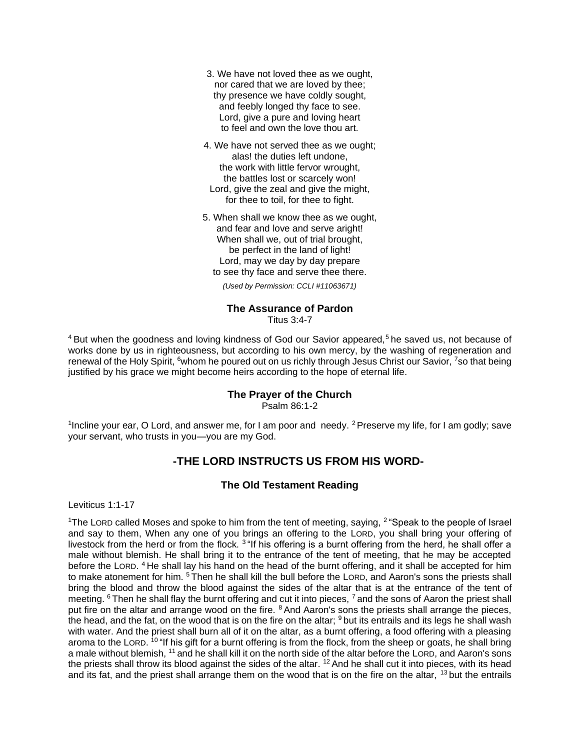- 3. We have not loved thee as we ought, nor cared that we are loved by thee; thy presence we have coldly sought, and feebly longed thy face to see. Lord, give a pure and loving heart to feel and own the love thou art.
- 4. We have not served thee as we ought; alas! the duties left undone, the work with little fervor wrought, the battles lost or scarcely won! Lord, give the zeal and give the might, for thee to toil, for thee to fight.
- 5. When shall we know thee as we ought, and fear and love and serve aright! When shall we, out of trial brought, be perfect in the land of light! Lord, may we day by day prepare to see thy face and serve thee there.

*(Used by Permission: CCLI #11063671)*

## **The Assurance of Pardon**

Titus 3:4-7

 $4$  But when the goodness and loving kindness of God our Savior appeared,<sup>5</sup> he saved us, not because of works done by us in righteousness, but according to his own mercy, by the washing of regeneration and renewal of the Holy Spirit, <sup>6</sup>whom he poured out on us richly through Jesus Christ our Savior, <sup>7</sup>so that being justified by his grace we might become heirs according to the hope of eternal life.

### **The Prayer of the Church**

Psalm 86:1-2

<sup>1</sup>Incline your ear, O Lord, and answer me, for I am poor and needy. <sup>2</sup> Preserve my life, for I am godly; save your servant, who trusts in you—you are my God.

## **-THE LORD INSTRUCTS US FROM HIS WORD-**

### **The Old Testament Reading**

Leviticus 1:1-17

<sup>1</sup>The LORD called Moses and spoke to him from the tent of meeting, saying,  $2$  "Speak to the people of Israel and say to them, When any one of you brings an offering to the LORD, you shall bring your offering of livestock from the herd or from the flock. <sup>3</sup> "If his offering is a burnt offering from the herd, he shall offer a male without blemish. He shall bring it to the entrance of the tent of meeting, that he may be accepted before the LORD. <sup>4</sup> He shall lay his hand on the head of the burnt offering, and it shall be accepted for him to make atonement for him. <sup>5</sup> Then he shall kill the bull before the LORD, and Aaron's sons the priests shall bring the blood and throw the blood against the sides of the altar that is at the entrance of the tent of meeting. <sup>6</sup> Then he shall flay the burnt offering and cut it into pieces, <sup>7</sup> and the sons of Aaron the priest shall put fire on the altar and arrange wood on the fire. <sup>8</sup> And Aaron's sons the priests shall arrange the pieces, the head, and the fat, on the wood that is on the fire on the altar;  $9$  but its entrails and its legs he shall wash with water. And the priest shall burn all of it on the altar, as a burnt offering, a food offering with a pleasing aroma to the LORD. <sup>10</sup> "If his gift for a burnt offering is from the flock, from the sheep or goats, he shall bring a male without blemish, <sup>11</sup> and he shall kill it on the north side of the altar before the LORD, and Aaron's sons the priests shall throw its blood against the sides of the altar.  $12$  And he shall cut it into pieces, with its head and its fat, and the priest shall arrange them on the wood that is on the fire on the altar, <sup>13</sup> but the entrails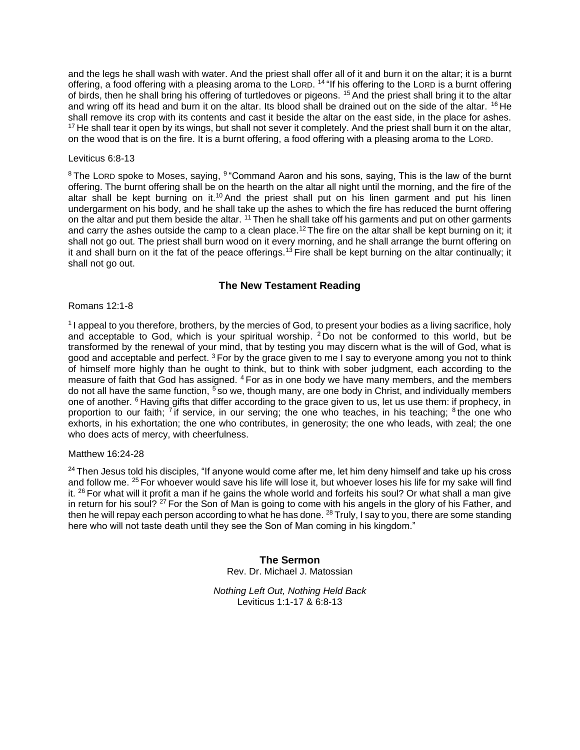and the legs he shall wash with water. And the priest shall offer all of it and burn it on the altar; it is a burnt offering, a food offering with a pleasing aroma to the LORD. <sup>14</sup> "If his offering to the LORD is a burnt offering of birds, then he shall bring his offering of turtledoves or pigeons. <sup>15</sup> And the priest shall bring it to the altar and wring off its head and burn it on the altar. Its blood shall be drained out on the side of the altar. <sup>16</sup> He shall remove its crop with its contents and cast it beside the altar on the east side, in the place for ashes. <sup>17</sup> He shall tear it open by its wings, but shall not sever it completely. And the priest shall burn it on the altar, on the wood that is on the fire. It is a burnt offering, a food offering with a pleasing aroma to the LORD.

### Leviticus 6:8-13

 $8$ The LORD spoke to Moses, saying,  $9$  "Command Aaron and his sons, saying, This is the law of the burnt offering. The burnt offering shall be on the hearth on the altar all night until the morning, and the fire of the altar shall be kept burning on it.<sup>10</sup> And the priest shall put on his linen garment and put his linen undergarment on his body, and he shall take up the ashes to which the fire has reduced the burnt offering on the altar and put them beside the altar. <sup>11</sup> Then he shall take off his garments and put on other garments and carry the ashes outside the camp to a clean place.<sup>12</sup> The fire on the altar shall be kept burning on it; it shall not go out. The priest shall burn wood on it every morning, and he shall arrange the burnt offering on it and shall burn on it the fat of the peace offerings.<sup>13</sup> Fire shall be kept burning on the altar continually; it shall not go out.

### **The New Testament Reading**

#### Romans 12:1-8

<sup>1</sup>I appeal to you therefore, brothers, by the mercies of God, to present your bodies as a living sacrifice, holy and acceptable to God, which is your spiritual worship. <sup>2</sup> Do not be conformed to this world, but be transformed by the renewal of your mind, that by testing you may discern what is the will of God, what is good and acceptable and perfect.  $3$  For by the grace given to me I say to everyone among you not to think of himself more highly than he ought to think, but to think with sober judgment, each according to the measure of faith that God has assigned. <sup>4</sup> For as in one body we have many members, and the members do not all have the same function,  $\overline{5}$  so we, though many, are one body in Christ, and individually members one of another. <sup>6</sup> Having gifts that differ according to the grace given to us, let us use them: if prophecy, in proportion to our faith; <sup>7</sup> if service, in our serving; the one who teaches, in his teaching; <sup>8</sup> the one who exhorts, in his exhortation; the one who contributes, in generosity; the one who leads, with zeal; the one who does acts of mercy, with cheerfulness.

#### Matthew 16:24-28

 $24$  Then Jesus told his disciples, "If anyone would come after me, let him deny himself and take up his cross and follow me. <sup>25</sup> For whoever would save his life will lose it, but whoever loses his life for my sake will find it. <sup>26</sup> For what will it profit a man if he gains the whole world and forfeits his soul? Or what shall a man give in return for his soul? <sup>27</sup> For the Son of Man is going to come with his angels in the glory of his Father, and then he will repay each person according to what he has done. <sup>28</sup> Truly, I say to you, there are some standing here who will not taste death until they see the Son of Man coming in his kingdom."

> **The Sermon** Rev. Dr. Michael J. Matossian

*Nothing Left Out, Nothing Held Back* Leviticus 1:1-17 & 6:8-13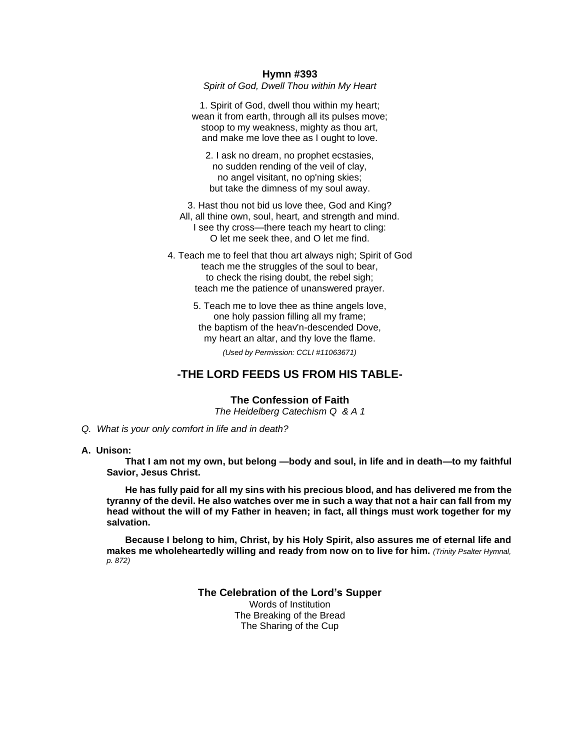#### **Hymn #393**

*Spirit of God, Dwell Thou within My Heart*

1. Spirit of God, dwell thou within my heart; wean it from earth, through all its pulses move; stoop to my weakness, mighty as thou art. and make me love thee as I ought to love.

2. I ask no dream, no prophet ecstasies, no sudden rending of the veil of clay, no angel visitant, no op'ning skies; but take the dimness of my soul away.

3. Hast thou not bid us love thee, God and King? All, all thine own, soul, heart, and strength and mind. I see thy cross—there teach my heart to cling: O let me seek thee, and O let me find.

4. Teach me to feel that thou art always nigh; Spirit of God teach me the struggles of the soul to bear, to check the rising doubt, the rebel sigh; teach me the patience of unanswered prayer.

> 5. Teach me to love thee as thine angels love, one holy passion filling all my frame; the baptism of the heav'n-descended Dove, my heart an altar, and thy love the flame.

> > *(Used by Permission: CCLI #11063671)*

## **-THE LORD FEEDS US FROM HIS TABLE-**

#### **The Confession of Faith**

*The Heidelberg Catechism Q & A 1*

 *Q. What is your only comfort in life and in death?*

#### **A. Unison:**

 **That I am not my own, but belong —body and soul, in life and in death—to my faithful Savior, Jesus Christ.** 

 **He has fully paid for all my sins with his precious blood, and has delivered me from the tyranny of the devil. He also watches over me in such a way that not a hair can fall from my head without the will of my Father in heaven; in fact, all things must work together for my salvation.**

 **Because I belong to him, Christ, by his Holy Spirit, also assures me of eternal life and makes me wholeheartedly willing and ready from now on to live for him.** *(Trinity Psalter Hymnal, p. 872)* 

> **The Celebration of the Lord's Supper** Words of Institution The Breaking of the Bread

The Sharing of the Cup